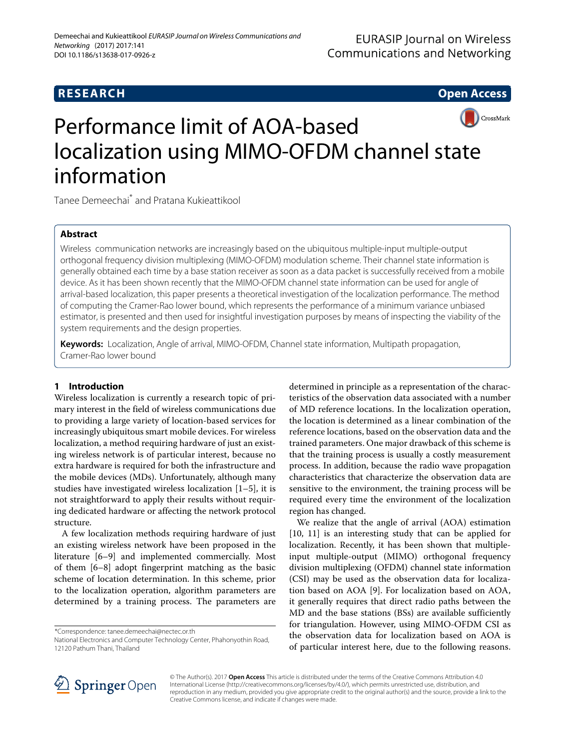# **RESEARCH Open Access**



# Performance limit of AOA-based localization using MIMO-OFDM channel state information

Tanee Demeechai\* and Pratana Kukieattikool

# **Abstract**

Wireless communication networks are increasingly based on the ubiquitous multiple-input multiple-output orthogonal frequency division multiplexing (MIMO-OFDM) modulation scheme. Their channel state information is generally obtained each time by a base station receiver as soon as a data packet is successfully received from a mobile device. As it has been shown recently that the MIMO-OFDM channel state information can be used for angle of arrival-based localization, this paper presents a theoretical investigation of the localization performance. The method of computing the Cramer-Rao lower bound, which represents the performance of a minimum variance unbiased estimator, is presented and then used for insightful investigation purposes by means of inspecting the viability of the system requirements and the design properties.

**Keywords:** Localization, Angle of arrival, MIMO-OFDM, Channel state information, Multipath propagation, Cramer-Rao lower bound

# **1 Introduction**

Wireless localization is currently a research topic of primary interest in the field of wireless communications due to providing a large variety of location-based services for increasingly ubiquitous smart mobile devices. For wireless localization, a method requiring hardware of just an existing wireless network is of particular interest, because no extra hardware is required for both the infrastructure and the mobile devices (MDs). Unfortunately, although many studies have investigated wireless localization [\[1](#page-8-0)[–5\]](#page-8-1), it is not straightforward to apply their results without requiring dedicated hardware or affecting the network protocol structure.

A few localization methods requiring hardware of just an existing wireless network have been proposed in the literature [\[6](#page-8-2)[–9\]](#page-9-0) and implemented commercially. Most of them [\[6](#page-8-2)[–8\]](#page-9-1) adopt fingerprint matching as the basic scheme of location determination. In this scheme, prior to the localization operation, algorithm parameters are determined by a training process. The parameters are

\*Correspondence: [tanee.demeechai@nectec.or.th](mailto: tanee.demeechai@nectec.or.th)

determined in principle as a representation of the characteristics of the observation data associated with a number of MD reference locations. In the localization operation, the location is determined as a linear combination of the reference locations, based on the observation data and the trained parameters. One major drawback of this scheme is that the training process is usually a costly measurement process. In addition, because the radio wave propagation characteristics that characterize the observation data are sensitive to the environment, the training process will be required every time the environment of the localization region has changed.

We realize that the angle of arrival (AOA) estimation [\[10,](#page-9-2) [11\]](#page-9-3) is an interesting study that can be applied for localization. Recently, it has been shown that multipleinput multiple-output (MIMO) orthogonal frequency division multiplexing (OFDM) channel state information (CSI) may be used as the observation data for localization based on AOA [\[9\]](#page-9-0). For localization based on AOA, it generally requires that direct radio paths between the MD and the base stations (BSs) are available sufficiently for triangulation. However, using MIMO-OFDM CSI as the observation data for localization based on AOA is of particular interest here, due to the following reasons.



© The Author(s). 2017 **Open Access** This article is distributed under the terms of the Creative Commons Attribution 4.0 International License [\(http://creativecommons.org/licenses/by/4.0/\)](http://creativecommons.org/licenses/by/4.0/), which permits unrestricted use, distribution, and reproduction in any medium, provided you give appropriate credit to the original author(s) and the source, provide a link to the Creative Commons license, and indicate if changes were made.

National Electronics and Computer Technology Center, Phahonyothin Road, 12120 Pathum Thani, Thailand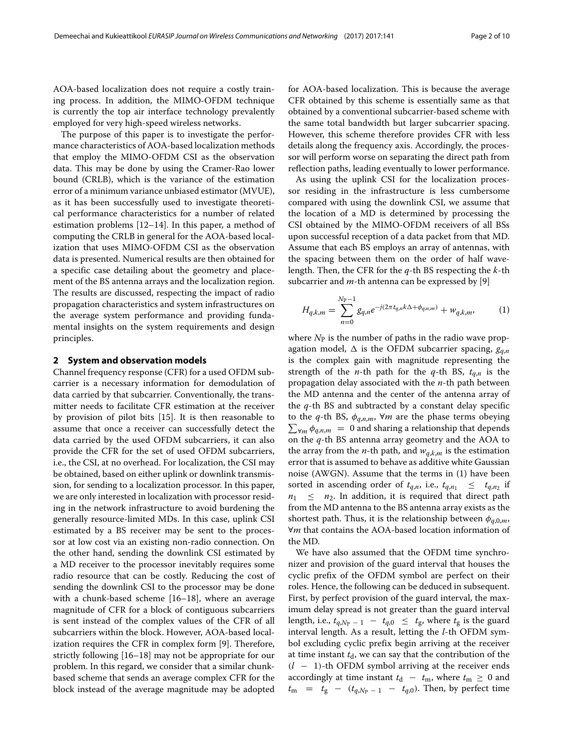AOA-based localization does not require a costly training process. In addition, the MIMO-OFDM technique is currently the top air interface technology prevalently employed for very high-speed wireless networks.

The purpose of this paper is to investigate the performance characteristics of AOA-based localization methods that employ the MIMO-OFDM CSI as the observation data. This may be done by using the Cramer-Rao lower bound (CRLB), which is the variance of the estimation error of a minimum variance unbiased estimator (MVUE), as it has been successfully used to investigate theoretical performance characteristics for a number of related estimation problems [\[12–](#page-9-4)[14\]](#page-9-5). In this paper, a method of computing the CRLB in general for the AOA-based localization that uses MIMO-OFDM CSI as the observation data is presented. Numerical results are then obtained for a specific case detailing about the geometry and placement of the BS antenna arrays and the localization region. The results are discussed, respecting the impact of radio propagation characteristics and system infrastructures on the average system performance and providing fundamental insights on the system requirements and design principles.

# <span id="page-1-1"></span>**2 System and observation models**

Channel frequency response (CFR) for a used OFDM subcarrier is a necessary information for demodulation of data carried by that subcarrier. Conventionally, the transmitter needs to facilitate CFR estimation at the receiver by provision of pilot bits [\[15\]](#page-9-6). It is then reasonable to assume that once a receiver can successfully detect the data carried by the used OFDM subcarriers, it can also provide the CFR for the set of used OFDM subcarriers, i.e., the CSI, at no overhead. For localization, the CSI may be obtained, based on either uplink or downlink transmission, for sending to a localization processor. In this paper, we are only interested in localization with processor residing in the network infrastructure to avoid burdening the generally resource-limited MDs. In this case, uplink CSI estimated by a BS receiver may be sent to the processor at low cost via an existing non-radio connection. On the other hand, sending the downlink CSI estimated by a MD receiver to the processor inevitably requires some radio resource that can be costly. Reducing the cost of sending the downlink CSI to the processor may be done with a chunk-based scheme [\[16](#page-9-7)[–18\]](#page-9-8), where an average magnitude of CFR for a block of contiguous subcarriers is sent instead of the complex values of the CFR of all subcarriers within the block. However, AOA-based localization requires the CFR in complex form [\[9\]](#page-9-0). Therefore, strictly following [\[16–](#page-9-7)[18\]](#page-9-8) may not be appropriate for our problem. In this regard, we consider that a similar chunkbased scheme that sends an average complex CFR for the block instead of the average magnitude may be adopted

for AOA-based localization. This is because the average CFR obtained by this scheme is essentially same as that obtained by a conventional subcarrier-based scheme with the same total bandwidth but larger subcarrier spacing. However, this scheme therefore provides CFR with less details along the frequency axis. Accordingly, the processor will perform worse on separating the direct path from reflection paths, leading eventually to lower performance.

As using the uplink CSI for the localization processor residing in the infrastructure is less cumbersome compared with using the downlink CSI, we assume that the location of a MD is determined by processing the CSI obtained by the MIMO-OFDM receivers of all BSs upon successful reception of a data packet from that MD. Assume that each BS employs an array of antennas, with the spacing between them on the order of half wavelength. Then, the CFR for the *q*-th BS respecting the *k*-th subcarrier and *m*-th antenna can be expressed by [\[9\]](#page-9-0)

<span id="page-1-0"></span>
$$
H_{q,k,m} = \sum_{n=0}^{N_{\rm P}-1} g_{q,n} e^{-j(2\pi t_{q,n}k\Delta + \phi_{q,n,m})} + w_{q,k,m}, \tag{1}
$$

where  $N_P$  is the number of paths in the radio wave propagation model,  $\Delta$  is the OFDM subcarrier spacing,  $g_{q,n}$ is the complex gain with magnitude representing the strength of the *n*-th path for the *q*-th BS,  $t_{q,n}$  is the propagation delay associated with the *n*-th path between the MD antenna and the center of the antenna array of the *q*-th BS and subtracted by a constant delay specific  $\sum_{\forall m} \phi_{q,n,m} = 0$  and sharing a relationship that depends to the *q*-th BS,  $\phi_{q,n,m}$ ,  $\forall m$  are the phase terms obeying on the *q*-th BS antenna array geometry and the AOA to the array from the *n*-th path, and  $w_{q,k,m}$  is the estimation error that is assumed to behave as additive white Gaussian noise (AWGN). Assume that the terms in [\(1\)](#page-1-0) have been sorted in ascending order of  $t_{q,n}$ , i.e.,  $t_{q,n_1} \leq t_{q,n_2}$  if  $n_1 \leq n_2$ . In addition, it is required that direct path from the MD antenna to the BS antenna array exists as the shortest path. Thus, it is the relationship between  $\phi_{q,0,m}$ , ∀*m* that contains the AOA-based location information of the MD.

We have also assumed that the OFDM time synchronizer and provision of the guard interval that houses the cyclic prefix of the OFDM symbol are perfect on their roles. Hence, the following can be deduced in subsequent. First, by perfect provision of the guard interval, the maximum delay spread is not greater than the guard interval length, i.e.,  $t_{q,N_P-1} - t_{q,0} \leq t_g$ , where  $t_g$  is the guard interval length. As a result, letting the *l*-th OFDM symbol excluding cyclic prefix begin arriving at the receiver at time instant  $t<sub>d</sub>$ , we can say that the contribution of the (*l* − 1)-th OFDM symbol arriving at the receiver ends accordingly at time instant  $t_d - t_m$ , where  $t_m \geq 0$  and  $t_m$  =  $t_g$  –  $(t_{q,Np-1} - t_{q,0})$ . Then, by perfect time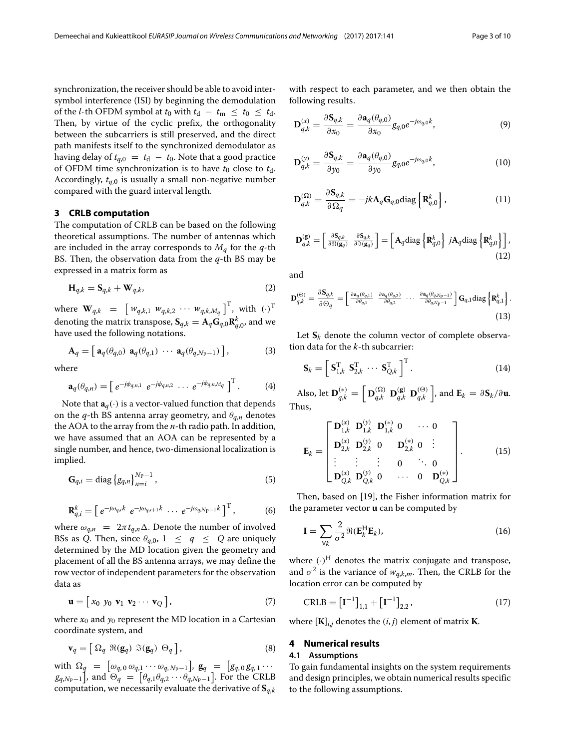synchronization, the receiver should be able to avoid intersymbol interference (ISI) by beginning the demodulation of the *l*-th OFDM symbol at  $t_0$  with  $t_d - t_m \leq t_0 \leq t_d$ . Then, by virtue of the cyclic prefix, the orthogonality between the subcarriers is still preserved, and the direct path manifests itself to the synchronized demodulator as having delay of  $t_{q,0} = t_d - t_0$ . Note that a good practice of OFDM time synchronization is to have  $t_0$  close to  $t_d$ . Accordingly, *tq*,0 is usually a small non-negative number compared with the guard interval length.

#### **3 CRLB computation**

The computation of CRLB can be based on the following theoretical assumptions. The number of antennas which are included in the array corresponds to *Mq* for the *q*-th BS. Then, the observation data from the *q*-th BS may be expressed in a matrix form as

$$
\mathbf{H}_{q,k} = \mathbf{S}_{q,k} + \mathbf{W}_{q,k},\tag{2}
$$

where  $\mathbf{W}_{q,k} = \begin{bmatrix} w_{q,k,1} & w_{q,k,2} & \cdots & w_{q,k,M_q} \end{bmatrix}^{\mathrm{T}}$ , with  $(\cdot)^{\mathrm{T}}$ denoting the matrix transpose,  $\mathbf{S}_{q,k} = \mathbf{A}_q \mathbf{G}_{q,0} \mathbf{R}_{q,0}^k$ , and we have used the following notations.

$$
\mathbf{A}_q = \begin{bmatrix} \mathbf{a}_q(\theta_{q,0}) & \mathbf{a}_q(\theta_{q,1}) & \cdots & \mathbf{a}_q(\theta_{q,N_\text{P}-1}) \end{bmatrix},\tag{3}
$$

where

$$
\mathbf{a}_q(\theta_{q,n}) = \begin{bmatrix} e^{-j\phi_{q,n,1}} & e^{-j\phi_{q,n,2}} & \cdots & e^{-j\phi_{q,n,M_q}} \end{bmatrix}^\mathrm{T} . \tag{4}
$$

Note that  $\mathbf{a}_q(\cdot)$  is a vector-valued function that depends on the  $q$ -th BS antenna array geometry, and  $\theta_{q,n}$  denotes the AOA to the array from the *n*-th radio path. In addition, we have assumed that an AOA can be represented by a single number, and hence, two-dimensional localization is implied.

$$
G_{q,i} = \text{diag}\{g_{q,n}\}_{n=1}^{N_{\text{P}}-1},
$$
\n(5)

$$
\mathbf{R}_{q,i}^k = \left[ \ e^{-j\omega_{q,i}k} \ e^{-j\omega_{q,i+1}k} \ \cdots \ e^{-j\omega_{q,N_{\rm P}-1}k} \right]^{\rm T}, \tag{6}
$$

where  $\omega_{q,n} = 2\pi t_{q,n} \Delta$ . Denote the number of involved BSs as *Q*. Then, since  $\theta_{q,0}$ ,  $1 \leq q \leq Q$  are uniquely determined by the MD location given the geometry and placement of all the BS antenna arrays, we may define the row vector of independent parameters for the observation data as

$$
\mathbf{u} = \begin{bmatrix} x_0 & y_0 & \mathbf{v}_1 & \mathbf{v}_2 & \cdots & \mathbf{v}_Q \end{bmatrix},\tag{7}
$$

where  $x_0$  and  $y_0$  represent the MD location in a Cartesian coordinate system, and

$$
\mathbf{v}_q = \left[ \ \Omega_q \ \Re(\mathbf{g}_q) \ \Im(\mathbf{g}_q) \ \Theta_q \ \right],\tag{8}
$$

with  $\Omega_q = [\omega_{q,0} \omega_{q,1} \cdots \omega_{q,N_P-1}], \mathbf{g}_q = [g_{q,0} g_{q,1} \cdots$ *g<sub>q,Np−1</sub>*], and  $\Theta_q = [\theta_{q,1}\theta_{q,2}\cdots\theta_{q,N_\text{P}-1}]$ . For the CRLB computation, we necessarily evaluate the derivative of **S***q*,*<sup>k</sup>*

with respect to each parameter, and we then obtain the following results.

$$
\mathbf{D}_{q,k}^{(x)} = \frac{\partial \mathbf{S}_{q,k}}{\partial x_0} = \frac{\partial \mathbf{a}_q(\theta_{q,0})}{\partial x_0} g_{q,0} e^{-j\omega_{q,0}k},\tag{9}
$$

$$
\mathbf{D}_{q,k}^{(y)} = \frac{\partial \mathbf{S}_{q,k}}{\partial y_0} = \frac{\partial \mathbf{a}_q(\theta_{q,0})}{\partial y_0} g_{q,0} e^{-j\omega_{q,0}k},\tag{10}
$$

$$
\mathbf{D}_{q,k}^{(\Omega)} = \frac{\partial \mathbf{S}_{q,k}}{\partial \Omega_q} = -jk \mathbf{A}_q \mathbf{G}_{q,0} \text{diag} \left\{ \mathbf{R}_{q,0}^k \right\},\tag{11}
$$

$$
\mathbf{D}_{q,k}^{(\mathbf{g})} = \begin{bmatrix} \frac{\partial \mathbf{S}_{q,k}}{\partial \Re(\mathbf{g}_q)} & \frac{\partial \mathbf{S}_{q,k}}{\partial \Im(\mathbf{g}_q)} \end{bmatrix} = \begin{bmatrix} \mathbf{A}_q \text{diag} \begin{Bmatrix} \mathbf{R}_{q,0}^k \end{Bmatrix} j \mathbf{A}_q \text{diag} \begin{Bmatrix} \mathbf{R}_{q,0}^k \end{Bmatrix} \end{bmatrix},
$$
\n(12)

and

$$
\mathbf{D}_{q,k}^{(\Theta)} = \frac{\partial \mathbf{S}_{q,k}}{\partial \Theta_q} = \begin{bmatrix} \frac{\partial \mathbf{a}_q(\theta_{q,1})}{\partial \theta_{q,1}} & \frac{\partial \mathbf{a}_q(\theta_{q,2})}{\partial \theta_{q,2}} & \cdots & \frac{\partial \mathbf{a}_q(\theta_{q,N_{\text{P}}-1})}{\partial \theta_{q,N_{\text{P}}-1}} \end{bmatrix} \mathbf{G}_{q,1} \text{diag} \left\{ \mathbf{R}_{q,1}^k \right\}.
$$
\n(13)

Let  $S_k$  denote the column vector of complete observation data for the *k*-th subcarrier:

$$
\mathbf{S}_{k} = \left[ \begin{array}{c} \mathbf{S}_{1,k}^{\mathrm{T}} \ \mathbf{S}_{2,k}^{\mathrm{T}} \ \cdots \ \mathbf{S}_{Q,k}^{\mathrm{T}} \end{array} \right]^{\mathrm{T}} . \tag{14}
$$

Also, let  $\mathbf{D}_{q,k}^{(*)} = \left[ \ \mathbf{D}_{q,k}^{(\Omega)} \ \mathbf{D}_{q,k}^{(\mathbf{g})} \ \mathbf{D}_{q,k}^{(\Theta)} \ \right],$  and  $\mathbf{E}_k = \partial \mathbf{S}_k / \partial \mathbf{u}$ . Thus,

<span id="page-2-1"></span>
$$
\mathbf{E}_{k} = \begin{bmatrix} \mathbf{D}_{1,k}^{(x)} & \mathbf{D}_{1,k}^{(y)} & \mathbf{D}_{1,k}^{(*)} & 0 & \cdots & 0 \\ \mathbf{D}_{2,k}^{(x)} & \mathbf{D}_{2,k}^{(y)} & 0 & \mathbf{D}_{2,k}^{(*)} & 0 & \vdots \\ \vdots & \vdots & \vdots & 0 & \ddots & 0 \\ \mathbf{D}_{Q,k}^{(x)} & \mathbf{D}_{Q,k}^{(y)} & 0 & \cdots & 0 & \mathbf{D}_{Q,k}^{(*)} \end{bmatrix} .
$$
 (15)

Then, based on [\[19\]](#page-9-9), the Fisher information matrix for the parameter vector **u** can be computed by

<span id="page-2-0"></span>
$$
\mathbf{I} = \sum_{\forall k} \frac{2}{\sigma^2} \Re(\mathbf{E}_k^{\mathrm{H}} \mathbf{E}_k),\tag{16}
$$

where  $(\cdot)^H$  denotes the matrix conjugate and transpose, and  $\sigma^2$  is the variance of  $w_{q,k,m}$ . Then, the CRLB for the location error can be computed by

<span id="page-2-2"></span>
$$
CRLB = [I^{-1}]_{1,1} + [I^{-1}]_{2,2},
$$
\n(17)

where  $[K]_{i,j}$  denotes the  $(i, j)$  element of matrix **K**.

# **4 Numerical results**

# **4.1 Assumptions**

To gain fundamental insights on the system requirements and design principles, we obtain numerical results specific to the following assumptions.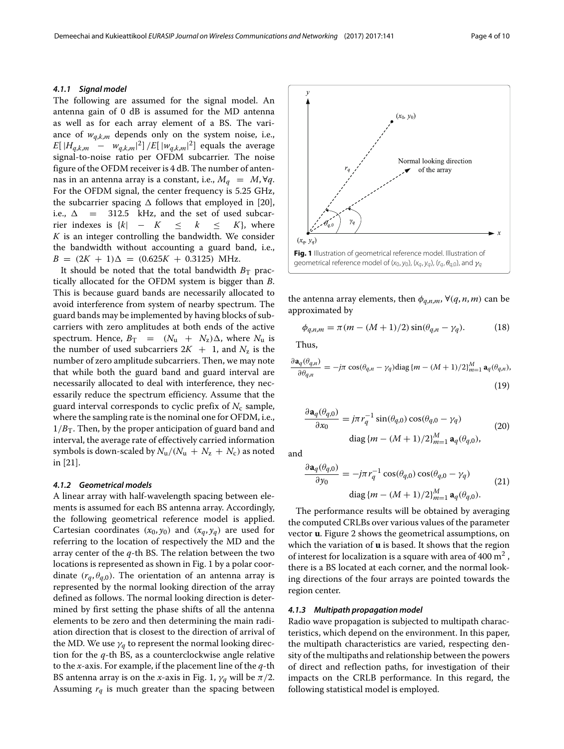#### *4.1.1 Signal model*

The following are assumed for the signal model. An antenna gain of 0 dB is assumed for the MD antenna as well as for each array element of a BS. The variance of  $w_{q,k,m}$  depends only on the system noise, i.e.,  $E[ |H_{q,k,m} - w_{q,k,m}|^2]$  /*E*[  $|w_{q,k,m}|^2$ ] equals the average signal-to-noise ratio per OFDM subcarrier. The noise figure of the OFDM receiver is 4 dB. The number of antennas in an antenna array is a constant, i.e.,  $M_q = M$ ,  $\forall q$ . For the OFDM signal, the center frequency is 5.25 GHz, the subcarrier spacing  $\Delta$  follows that employed in [\[20\]](#page-9-10), i.e.,  $\Delta$  = 312.5 kHz, and the set of used subcar-<br>rier indexes is  $\{k \mid -K \leq k \leq K\}$ , where rier indexes is  $\{k\}$  – *K K* is an integer controlling the bandwidth. We consider the bandwidth without accounting a guard band, i.e.,  $B = (2K + 1)\Delta = (0.625K + 0.3125)$  MHz.

It should be noted that the total bandwidth  $B_T$  practically allocated for the OFDM system is bigger than *B*. This is because guard bands are necessarily allocated to avoid interference from system of nearby spectrum. The guard bands may be implemented by having blocks of subcarriers with zero amplitudes at both ends of the active spectrum. Hence,  $B_T = (N_u + N_z)\Delta$ , where  $N_u$  is the number of used subcarriers  $2K + 1$ , and  $N_z$  is the number of zero amplitude subcarriers. Then, we may note that while both the guard band and guard interval are necessarily allocated to deal with interference, they necessarily reduce the spectrum efficiency. Assume that the guard interval corresponds to cyclic prefix of  $N_c$  sample, where the sampling rate is the nominal one for OFDM, i.e.,  $1/B<sub>T</sub>$ . Then, by the proper anticipation of guard band and interval, the average rate of effectively carried information symbols is down-scaled by  $N_u/(N_u + N_z + N_c)$  as noted in [\[21\]](#page-9-11).

# *4.1.2 Geometrical models*

A linear array with half-wavelength spacing between elements is assumed for each BS antenna array. Accordingly, the following geometrical reference model is applied. Cartesian coordinates  $(x_0, y_0)$  and  $(x_q, y_q)$  are used for referring to the location of respectively the MD and the array center of the *q*-th BS. The relation between the two locations is represented as shown in Fig. [1](#page-3-0) by a polar coordinate  $(r_q, \theta_{q,0})$ . The orientation of an antenna array is represented by the normal looking direction of the array defined as follows. The normal looking direction is determined by first setting the phase shifts of all the antenna elements to be zero and then determining the main radiation direction that is closest to the direction of arrival of the MD. We use  $\gamma_a$  to represent the normal looking direction for the *q*-th BS, as a counterclockwise angle relative to the *x*-axis. For example, if the placement line of the *q*-th BS antenna array is on the *x*-axis in Fig. [1,](#page-3-0)  $\gamma_q$  will be  $\pi/2$ . Assuming  $r_q$  is much greater than the spacing between



<span id="page-3-0"></span>the antenna array elements, then  $\phi_{a,n,m}$ ,  $\forall (q, n, m)$  can be approximated by

$$
\phi_{q,n,m} = \pi (m - (M+1)/2) \sin(\theta_{q,n} - \gamma_q). \tag{18}
$$

Thus,

$$
\frac{\partial \mathbf{a}_q(\theta_{q,n})}{\partial \theta_{q,n}} = -j\pi \cos(\theta_{q,n} - \gamma_q) \text{diag}\left\{m - (M+1)/2\right\}_{m=1}^M \mathbf{a}_q(\theta_{q,n}),
$$
\n(19)

$$
\frac{\partial \mathbf{a}_q(\theta_{q,0})}{\partial x_0} = j\pi r_q^{-1} \sin(\theta_{q,0}) \cos(\theta_{q,0} - \gamma_q)
$$
  
diag  $\{m - (M+1)/2\}_{m=1}^M \mathbf{a}_q(\theta_{q,0}),$  (20)

and

$$
\frac{\partial \mathbf{a}_q(\theta_{q,0})}{\partial y_0} = -j\pi r_q^{-1} \cos(\theta_{q,0}) \cos(\theta_{q,0} - \gamma_q)
$$
\n
$$
\text{diag}\left\{m - (M+1)/2\right\}_{m=1}^M \mathbf{a}_q(\theta_{q,0}).\tag{21}
$$

The performance results will be obtained by averaging the computed CRLBs over various values of the parameter vector **u**. Figure [2](#page-4-0) shows the geometrical assumptions, on which the variation of **u** is based. It shows that the region of interest for localization is a square with area of 400  $m<sup>2</sup>$ , there is a BS located at each corner, and the normal looking directions of the four arrays are pointed towards the region center.

#### *4.1.3 Multipath propagation model*

Radio wave propagation is subjected to multipath characteristics, which depend on the environment. In this paper, the multipath characteristics are varied, respecting density of the multipaths and relationship between the powers of direct and reflection paths, for investigation of their impacts on the CRLB performance. In this regard, the following statistical model is employed.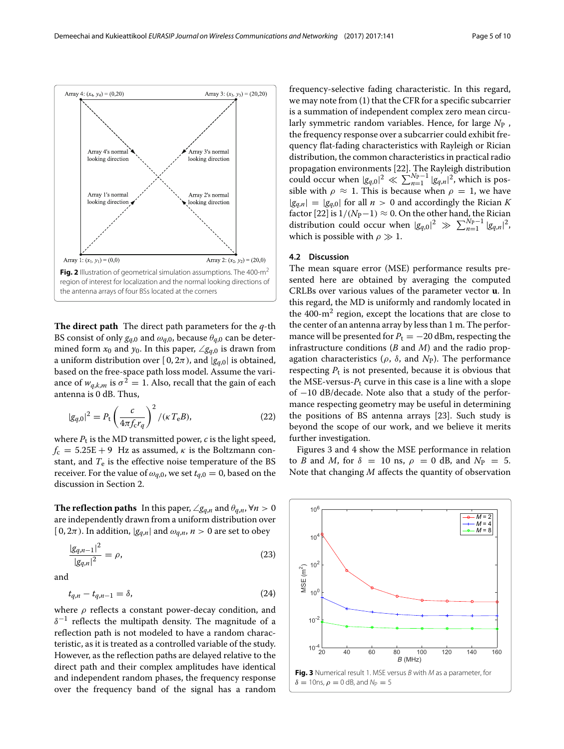

<span id="page-4-0"></span>**The direct path** The direct path parameters for the *q*-th BS consist of only  $g_{q,0}$  and  $\omega_{q,0}$ , because  $\theta_{q,0}$  can be determined form  $x_0$  and  $y_0$ . In this paper,  $\angle g_{q,0}$  is drawn from a uniform distribution over [0,  $2\pi$ ), and  $|g_{q,0}|$  is obtained, based on the free-space path loss model. Assume the variance of  $w_{a,k,m}$  is  $\sigma^2 = 1$ . Also, recall that the gain of each antenna is 0 dB. Thus,

<span id="page-4-2"></span>
$$
|g_{q,0}|^2 = P_t \left(\frac{c}{4\pi f_c r_q}\right)^2 / (\kappa T_e B),
$$
 (22)

where  $P_t$  is the MD transmitted power,  $c$  is the light speed,  $f_c = 5.25E + 9$  Hz as assumed,  $\kappa$  is the Boltzmann constant, and  $T_e$  is the effective noise temperature of the BS receiver. For the value of  $\omega_{q,0}$ , we set  $t_{q,0} = 0$ , based on the discussion in Section [2.](#page-1-1)

**The reflection paths** In this paper,  $\angle g_{q,n}$  and  $\theta_{q,n}$ ,  $\forall n > 0$ are independently drawn from a uniform distribution over  $[0, 2\pi)$ . In addition,  $|g_{q,n}|$  and  $\omega_{q,n}$ ,  $n > 0$  are set to obey

$$
\frac{|g_{q,n-1}|^2}{|g_{q,n}|^2} = \rho,\tag{23}
$$

<span id="page-4-4"></span>and

$$
t_{q,n} - t_{q,n-1} = \delta,\tag{24}
$$

where  $\rho$  reflects a constant power-decay condition, and  $\delta^{-1}$  reflects the multipath density. The magnitude of a reflection path is not modeled to have a random characteristic, as it is treated as a controlled variable of the study. However, as the reflection paths are delayed relative to the direct path and their complex amplitudes have identical and independent random phases, the frequency response over the frequency band of the signal has a random frequency-selective fading characteristic. In this regard, we may note from [\(1\)](#page-1-0) that the CFR for a specific subcarrier is a summation of independent complex zero mean circularly symmetric random variables. Hence, for large *N*<sup>P</sup> , the frequency response over a subcarrier could exhibit frequency flat-fading characteristics with Rayleigh or Rician distribution, the common characteristics in practical radio propagation environments [\[22\]](#page-9-12). The Rayleigh distribution could occur when  $|g_{q,0}|^2 \ll \sum_{n=1}^{Np-1} |g_{q,n}|^2$ , which is possible with  $\rho \approx 1$ . This is because when  $\rho = 1$ , we have  $|g_{q,n}|=|g_{q,0}|$  for all  $n>0$  and accordingly the Rician *K* factor [\[22\]](#page-9-12) is  $1/(N_{\rm P}-1) \approx 0$ . On the other hand, the Rician distribution could occur when  $|g_{q,0}|^2 \gg \sum_{n=1}^{N_P-1} |g_{q,n}|^2$ , which is possible with  $\rho \gg 1$ .

# **4.2 Discussion**

The mean square error (MSE) performance results presented here are obtained by averaging the computed CRLBs over various values of the parameter vector **u**. In this regard, the MD is uniformly and randomly located in the 400-m2 region, except the locations that are close to the center of an antenna array by less than 1 m. The performance will be presented for  $P_t = -20$  dBm, respecting the infrastructure conditions (*B* and *M*) and the radio propagation characteristics ( $\rho$ ,  $\delta$ , and  $N_P$ ). The performance respecting  $P_t$  is not presented, because it is obvious that the MSE-versus-*P*<sup>t</sup> curve in this case is a line with a slope of −10 dB/decade. Note also that a study of the performance respecting geometry may be useful in determining the positions of BS antenna arrays [\[23\]](#page-9-13). Such study is beyond the scope of our work, and we believe it merits further investigation.

Figures [3](#page-4-1) and [4](#page-5-0) show the MSE performance in relation to *B* and *M*, for  $\delta = 10$  ns,  $\rho = 0$  dB, and  $N_p = 5$ . Note that changing *M* affects the quantity of observation

<span id="page-4-3"></span><span id="page-4-1"></span>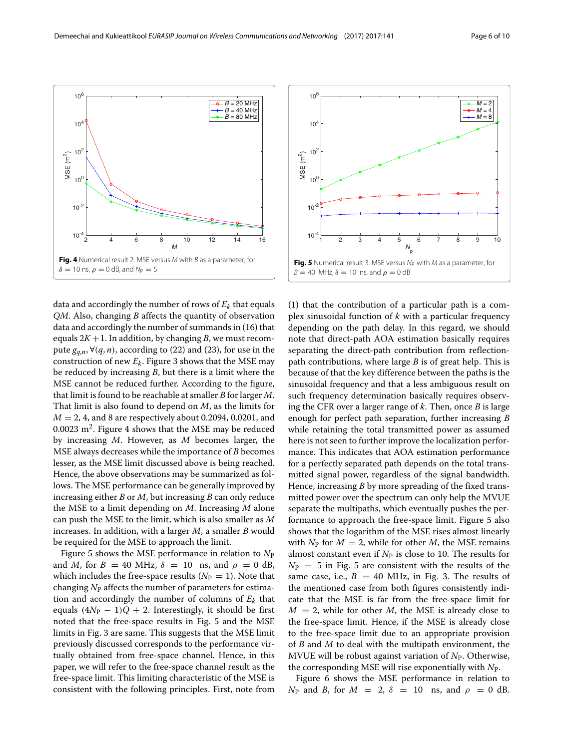

<span id="page-5-0"></span>data and accordingly the number of rows of  $E_k$  that equals *QM*. Also, changing *B* affects the quantity of observation data and accordingly the number of summands in [\(16\)](#page-2-0) that equals  $2K + 1$ . In addition, by changing *B*, we must recompute  $g_{q,n}$ ,  $\forall (q, n)$ , according to [\(22\)](#page-4-2) and [\(23\)](#page-4-3), for use in the construction of new  $E_k$ . Figure [3](#page-4-1) shows that the MSE may be reduced by increasing *B*, but there is a limit where the MSE cannot be reduced further. According to the figure, that limit is found to be reachable at smaller *B* for larger *M*. That limit is also found to depend on *M*, as the limits for *M* = 2, 4, and 8 are respectively about 0.2094, 0.0201, and 0.0023  $m^2$ . Figure [4](#page-5-0) shows that the MSE may be reduced by increasing *M*. However, as *M* becomes larger, the MSE always decreases while the importance of *B* becomes lesser, as the MSE limit discussed above is being reached. Hence, the above observations may be summarized as follows. The MSE performance can be generally improved by increasing either *B* or *M*, but increasing *B* can only reduce the MSE to a limit depending on *M*. Increasing *M* alone can push the MSE to the limit, which is also smaller as *M* increases. In addition, with a larger *M*, a smaller *B* would be required for the MSE to approach the limit.

Figure [5](#page-5-1) shows the MSE performance in relation to  $N_P$ and *M*, for  $B = 40$  MHz,  $\delta = 10$  ns, and  $\rho = 0$  dB, which includes the free-space results  $(N_P = 1)$ . Note that changing *N*<sup>P</sup> affects the number of parameters for estimation and accordingly the number of columns of  $E_k$  that equals  $(4N_P - 1)Q + 2$ . Interestingly, it should be first noted that the free-space results in Fig. [5](#page-5-1) and the MSE limits in Fig. [3](#page-4-1) are same. This suggests that the MSE limit previously discussed corresponds to the performance virtually obtained from free-space channel. Hence, in this paper, we will refer to the free-space channel result as the free-space limit. This limiting characteristic of the MSE is consistent with the following principles. First, note from



<span id="page-5-1"></span>[\(1\)](#page-1-0) that the contribution of a particular path is a complex sinusoidal function of *k* with a particular frequency depending on the path delay. In this regard, we should note that direct-path AOA estimation basically requires separating the direct-path contribution from reflectionpath contributions, where large *B* is of great help. This is because of that the key difference between the paths is the sinusoidal frequency and that a less ambiguous result on such frequency determination basically requires observing the CFR over a larger range of *k*. Then, once *B* is large enough for perfect path separation, further increasing *B* while retaining the total transmitted power as assumed here is not seen to further improve the localization performance. This indicates that AOA estimation performance for a perfectly separated path depends on the total transmitted signal power, regardless of the signal bandwidth. Hence, increasing *B* by more spreading of the fixed transmitted power over the spectrum can only help the MVUE separate the multipaths, which eventually pushes the performance to approach the free-space limit. Figure [5](#page-5-1) also shows that the logarithm of the MSE rises almost linearly with  $N_P$  for  $M = 2$ , while for other  $M$ , the MSE remains almost constant even if  $N_P$  is close to 10. The results for  $N_P = 5$  $N_P = 5$  in Fig. 5 are consistent with the results of the same case, i.e.,  $B = 40$  MHz, in Fig. [3.](#page-4-1) The results of the mentioned case from both figures consistently indicate that the MSE is far from the free-space limit for  $M = 2$ , while for other *M*, the MSE is already close to the free-space limit. Hence, if the MSE is already close to the free-space limit due to an appropriate provision of *B* and *M* to deal with the multipath environment, the MVUE will be robust against variation of *N*P. Otherwise, the corresponding MSE will rise exponentially with *N*P.

Figure [6](#page-6-0) shows the MSE performance in relation to *N*<sub>P</sub> and *B*, for  $M = 2$ ,  $\delta = 10$  ns, and  $\rho = 0$  dB.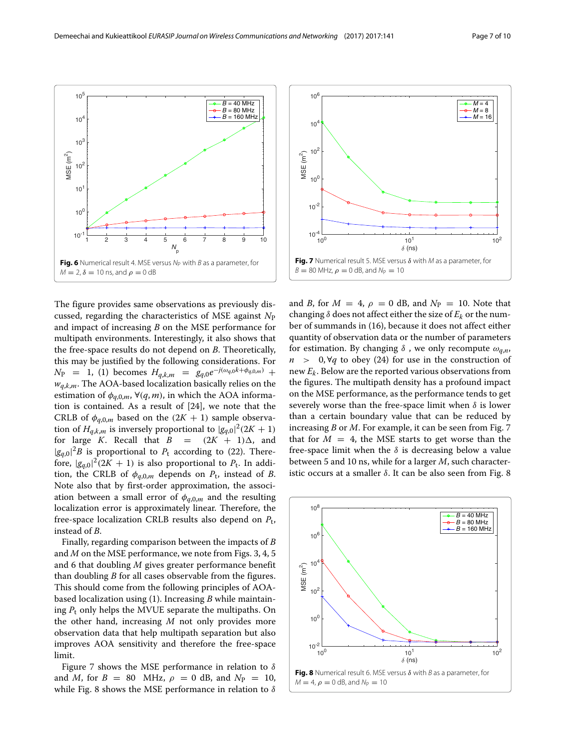

<span id="page-6-0"></span>The figure provides same observations as previously discussed, regarding the characteristics of MSE against *N*<sup>P</sup> and impact of increasing *B* on the MSE performance for multipath environments. Interestingly, it also shows that the free-space results do not depend on *B*. Theoretically, this may be justified by the following considerations. For  $N_P$  = 1, [\(1\)](#page-1-0) becomes  $H_{q,k,m}$  =  $g_{q,0}e^{-j(\omega_{q,0}k+\phi_{q,0,m})}$  + *wq*,*k*,*m*. The AOA-based localization basically relies on the estimation of  $\phi_{q,0,m}$ ,  $\forall (q,m)$ , in which the AOA information is contained. As a result of [\[24\]](#page-9-14), we note that the CRLB of  $\phi_{q,0,m}$  based on the  $(2K + 1)$  sample observation of  $H_{q,k,m}$  is inversely proportional to  $|g_{q,0}|^2(2K+1)$ for large *K*. Recall that  $B = (2K + 1)\Delta$ , and  $|g_{q,0}|^2 B$  is proportional to  $P_t$  according to [\(22\)](#page-4-2). Therefore,  $|g_{q,0}|^2(2K + 1)$  is also proportional to  $P_t$ . In addition, the CRLB of  $\phi_{q,0,m}$  depends on  $P_t$ , instead of *B*. Note also that by first-order approximation, the association between a small error of  $\phi_{q,0,m}$  and the resulting localization error is approximately linear. Therefore, the free-space localization CRLB results also depend on *P*t, instead of *B*.

Finally, regarding comparison between the impacts of *B* and *M* on the MSE performance, we note from Figs. [3,](#page-4-1) [4,](#page-5-0) [5](#page-5-1) and [6](#page-6-0) that doubling *M* gives greater performance benefit than doubling *B* for all cases observable from the figures. This should come from the following principles of AOAbased localization using [\(1\)](#page-1-0). Increasing *B* while maintaining  $P_t$  only helps the MVUE separate the multipaths. On the other hand, increasing *M* not only provides more observation data that help multipath separation but also improves AOA sensitivity and therefore the free-space limit.

Figure [7](#page-6-1) shows the MSE performance in relation to  $\delta$ and *M*, for  $B = 80$  MHz,  $\rho = 0$  dB, and  $N_p = 10$ , while Fig. [8](#page-6-2) shows the MSE performance in relation to  $\delta$ 



<span id="page-6-1"></span>and *B*, for  $M = 4$ ,  $\rho = 0$  dB, and  $N_P = 10$ . Note that changing  $\delta$  does not affect either the size of  $E_k$  or the number of summands in [\(16\)](#page-2-0), because it does not affect either quantity of observation data or the number of parameters for estimation. By changing  $\delta$ , we only recompute  $\omega_{a,n}$ , *n* > 0,∀*q* to obey [\(24\)](#page-4-4) for use in the construction of new *Ek*. Below are the reported various observations from the figures. The multipath density has a profound impact on the MSE performance, as the performance tends to get severely worse than the free-space limit when  $\delta$  is lower than a certain boundary value that can be reduced by increasing *B* or *M*. For example, it can be seen from Fig. [7](#page-6-1) that for  $M = 4$ , the MSE starts to get worse than the free-space limit when the  $\delta$  is decreasing below a value between 5 and 10 ns, while for a larger *M*, such characteristic occurs at a smaller  $δ$ . It can be also seen from Fig. [8](#page-6-2)

<span id="page-6-2"></span>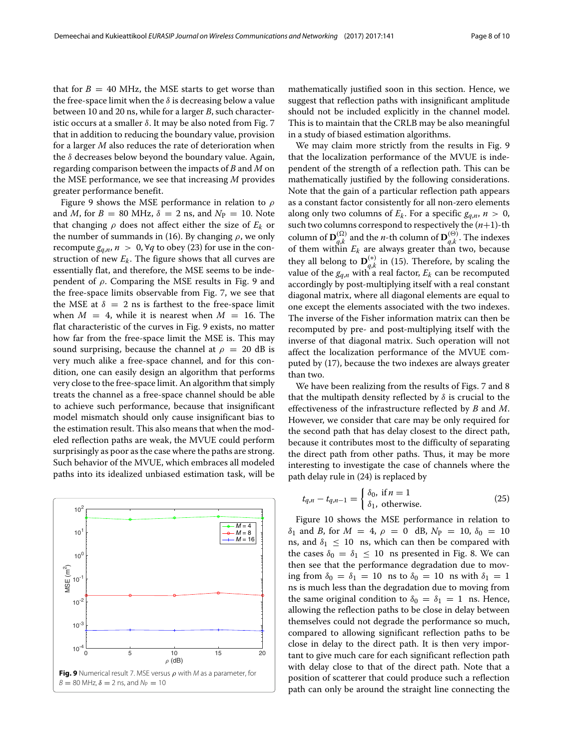that for  $B = 40$  MHz, the MSE starts to get worse than the free-space limit when the  $\delta$  is decreasing below a value between 10 and 20 ns, while for a larger *B*, such characteristic occurs at a smaller  $\delta$ . It may be also noted from Fig. [7](#page-6-1) that in addition to reducing the boundary value, provision for a larger *M* also reduces the rate of deterioration when the  $\delta$  decreases below beyond the boundary value. Again, regarding comparison between the impacts of *B* and *M* on the MSE performance, we see that increasing *M* provides greater performance benefit.

Figure [9](#page-7-0) shows the MSE performance in relation to  $\rho$ and *M*, for  $B = 80$  MHz,  $\delta = 2$  ns, and  $N_P = 10$ . Note that changing  $\rho$  does not affect either the size of  $E_k$  or the number of summands in [\(16\)](#page-2-0). By changing  $\rho$ , we only recompute  $g_{q,n}$ ,  $n > 0$ ,  $\forall q$  to obey [\(23\)](#page-4-3) for use in the construction of new *Ek*. The figure shows that all curves are essentially flat, and therefore, the MSE seems to be independent of  $\rho$ . Comparing the MSE results in Fig. [9](#page-7-0) and the free-space limits observable from Fig. [7,](#page-6-1) we see that the MSE at  $\delta = 2$  ns is farthest to the free-space limit when  $M = 4$ , while it is nearest when  $M = 16$ . The flat characteristic of the curves in Fig. [9](#page-7-0) exists, no matter how far from the free-space limit the MSE is. This may sound surprising, because the channel at  $\rho = 20$  dB is very much alike a free-space channel, and for this condition, one can easily design an algorithm that performs very close to the free-space limit. An algorithm that simply treats the channel as a free-space channel should be able to achieve such performance, because that insignificant model mismatch should only cause insignificant bias to the estimation result. This also means that when the modeled reflection paths are weak, the MVUE could perform surprisingly as poor as the case where the paths are strong. Such behavior of the MVUE, which embraces all modeled paths into its idealized unbiased estimation task, will be

<span id="page-7-0"></span>

mathematically justified soon in this section. Hence, we suggest that reflection paths with insignificant amplitude should not be included explicitly in the channel model. This is to maintain that the CRLB may be also meaningful in a study of biased estimation algorithms.

We may claim more strictly from the results in Fig. [9](#page-7-0) that the localization performance of the MVUE is independent of the strength of a reflection path. This can be mathematically justified by the following considerations. Note that the gain of a particular reflection path appears as a constant factor consistently for all non-zero elements along only two columns of  $E_k$ . For a specific  $g_{q,n}$ ,  $n > 0$ , such two columns correspond to respectively the (*n*+1)-th column of  $\mathbf{D}_{q,k}^{(\Omega)}$  and the *n*-th column of  $\mathbf{D}_{q,k}^{(\Theta)}$  . The indexes of them within  $E_k$  are always greater than two, because they all belong to  $\mathbf{D}_{q,k}^{(*)}$  in [\(15\)](#page-2-1). Therefore, by scaling the value of the  $g_{q,n}$  with a real factor,  $E_k$  can be recomputed accordingly by post-multiplying itself with a real constant diagonal matrix, where all diagonal elements are equal to one except the elements associated with the two indexes. The inverse of the Fisher information matrix can then be recomputed by pre- and post-multiplying itself with the inverse of that diagonal matrix. Such operation will not affect the localization performance of the MVUE computed by [\(17\)](#page-2-2), because the two indexes are always greater than two.

We have been realizing from the results of Figs. [7](#page-6-1) and [8](#page-6-2) that the multipath density reflected by  $\delta$  is crucial to the effectiveness of the infrastructure reflected by *B* and *M*. However, we consider that care may be only required for the second path that has delay closest to the direct path, because it contributes most to the difficulty of separating the direct path from other paths. Thus, it may be more interesting to investigate the case of channels where the path delay rule in [\(24\)](#page-4-4) is replaced by

$$
t_{q,n} - t_{q,n-1} = \begin{cases} \delta_0, \text{ if } n = 1\\ \delta_1, \text{ otherwise.} \end{cases}
$$
 (25)

Figure [10](#page-8-3) shows the MSE performance in relation to  $\delta_1$  and *B*, for  $M = 4$ ,  $\rho = 0$  dB,  $N_P = 10$ ,  $\delta_0 = 10$ ns, and  $\delta_1 \leq 10$  ns, which can then be compared with the cases  $\delta_0 = \delta_1 \leq 10$  ns presented in Fig. [8.](#page-6-2) We can then see that the performance degradation due to moving from  $\delta_0 = \delta_1 = 10$  ns to  $\delta_0 = 10$  ns with  $\delta_1 = 1$ ns is much less than the degradation due to moving from the same original condition to  $\delta_0 = \delta_1 = 1$  ns. Hence, allowing the reflection paths to be close in delay between themselves could not degrade the performance so much, compared to allowing significant reflection paths to be close in delay to the direct path. It is then very important to give much care for each significant reflection path with delay close to that of the direct path. Note that a position of scatterer that could produce such a reflection path can only be around the straight line connecting the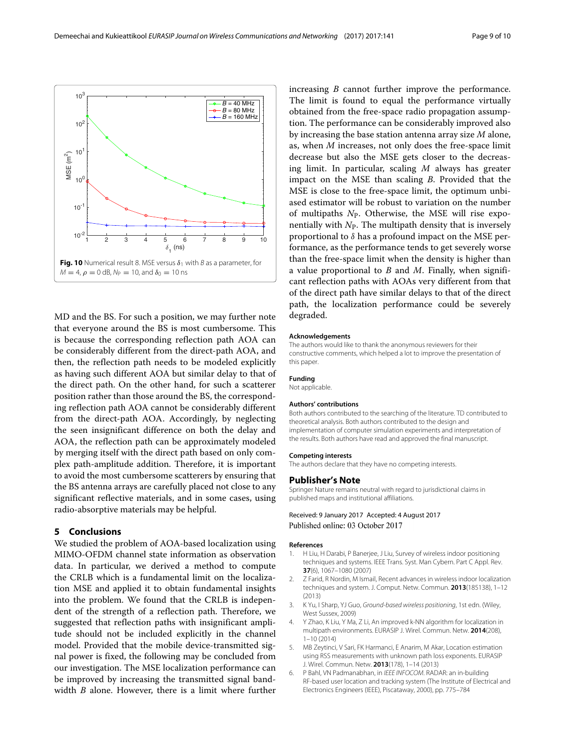

<span id="page-8-3"></span>MD and the BS. For such a position, we may further note that everyone around the BS is most cumbersome. This is because the corresponding reflection path AOA can be considerably different from the direct-path AOA, and then, the reflection path needs to be modeled explicitly as having such different AOA but similar delay to that of the direct path. On the other hand, for such a scatterer position rather than those around the BS, the corresponding reflection path AOA cannot be considerably different from the direct-path AOA. Accordingly, by neglecting the seen insignificant difference on both the delay and AOA, the reflection path can be approximately modeled by merging itself with the direct path based on only complex path-amplitude addition. Therefore, it is important to avoid the most cumbersome scatterers by ensuring that the BS antenna arrays are carefully placed not close to any significant reflective materials, and in some cases, using radio-absorptive materials may be helpful.

# **5 Conclusions**

We studied the problem of AOA-based localization using MIMO-OFDM channel state information as observation data. In particular, we derived a method to compute the CRLB which is a fundamental limit on the localization MSE and applied it to obtain fundamental insights into the problem. We found that the CRLB is independent of the strength of a reflection path. Therefore, we suggested that reflection paths with insignificant amplitude should not be included explicitly in the channel model. Provided that the mobile device-transmitted signal power is fixed, the following may be concluded from our investigation. The MSE localization performance can be improved by increasing the transmitted signal bandwidth *B* alone. However, there is a limit where further

increasing *B* cannot further improve the performance. The limit is found to equal the performance virtually obtained from the free-space radio propagation assumption. The performance can be considerably improved also by increasing the base station antenna array size *M* alone, as, when *M* increases, not only does the free-space limit decrease but also the MSE gets closer to the decreasing limit. In particular, scaling *M* always has greater impact on the MSE than scaling *B*. Provided that the MSE is close to the free-space limit, the optimum unbiased estimator will be robust to variation on the number of multipaths *N*P. Otherwise, the MSE will rise exponentially with  $N_{P}$ . The multipath density that is inversely proportional to  $\delta$  has a profound impact on the MSE performance, as the performance tends to get severely worse than the free-space limit when the density is higher than a value proportional to *B* and *M*. Finally, when significant reflection paths with AOAs very different from that of the direct path have similar delays to that of the direct path, the localization performance could be severely degraded.

#### **Acknowledgements**

The authors would like to thank the anonymous reviewers for their constructive comments, which helped a lot to improve the presentation of this paper.

#### **Funding**

Not applicable.

#### **Authors' contributions**

Both authors contributed to the searching of the literature. TD contributed to theoretical analysis. Both authors contributed to the design and implementation of computer simulation experiments and interpretation of the results. Both authors have read and approved the final manuscript.

#### **Competing interests**

The authors declare that they have no competing interests.

#### **Publisher's Note**

Springer Nature remains neutral with regard to jurisdictional claims in published maps and institutional affiliations.

# Received: 9 January 2017 Accepted: 4 August 2017 Published online: 03 October 2017

#### **References**

- <span id="page-8-0"></span>1. H Liu, H Darabi, P Banerjee, J Liu, Survey of wireless indoor positioning techniques and systems. IEEE Trans. Syst. Man Cybern. Part C Appl. Rev. **37**(6), 1067–1080 (2007)
- 2. Z Farid, R Nordin, M Ismail, Recent advances in wireless indoor localization techniques and system. J. Comput. Netw. Commun. **2013**(185138), 1–12 (2013)
- 3. K Yu, I Sharp, YJ Guo, Ground-based wireless positioning, 1st edn. (Wiley, West Sussex, 2009)
- 4. Y Zhao, K Liu, Y Ma, Z Li, An improved k-NN algorithm for localization in multipath environments. EURASIP J. Wirel. Commun. Netw. **2014**(208), 1–10 (2014)
- <span id="page-8-1"></span>5. MB Zeytinci, V Sari, FK Harmanci, E Anarim, M Akar, Location estimation using RSS measurements with unknown path loss exponents. EURASIP J. Wirel. Commun. Netw. **2013**(178), 1–14 (2013)
- <span id="page-8-2"></span>6. P Bahl, VN Padmanabhan, in IEEE INFOCOM. RADAR: an in-building RF-based user location and tracking system (The Institute of Electrical and Electronics Engineers (IEEE), Piscataway, 2000), pp. 775–784